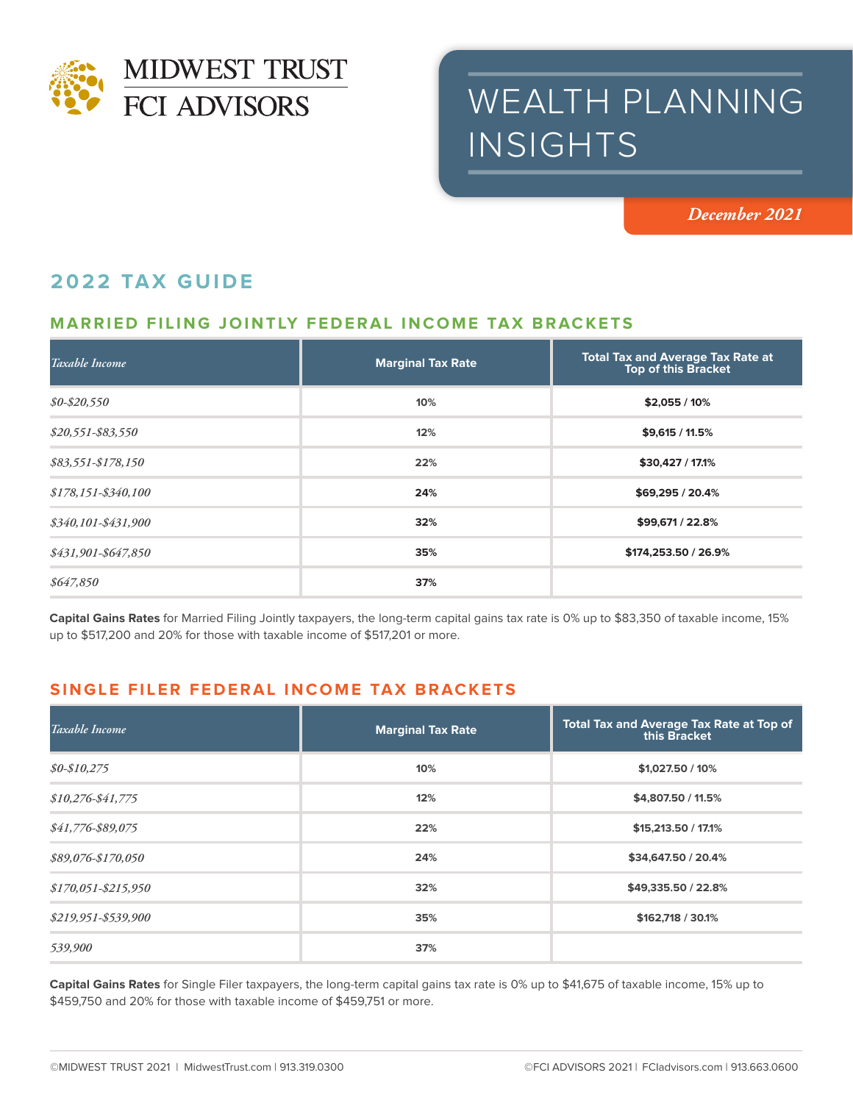

# WEALTH PLANNING INSIGHTS

*December 2021*

# **2022 TAX GUIDE**

## **MARRIED FILING JOINTLY FEDERAL INCOME TAX BRACKETS**

| Taxable Income        | <b>Marginal Tax Rate</b> | <b>Total Tax and Average Tax Rate at</b><br><b>Top of this Bracket</b> |
|-----------------------|--------------------------|------------------------------------------------------------------------|
| $$0 - $20,550$        | 10%                      | $$2,055/10\%$                                                          |
| $$20,551 - $83,550$   | 12%                      | $$9,615 / 11.5\%$                                                      |
| $$83,551-S178,150$    | 22%                      | \$30,427 / 17.1%                                                       |
| $$178,151 - $340,100$ | 24%                      | \$69,295 / 20.4%                                                       |
| \$340,101-\$431,900   | 32%                      | \$99,671 / 22.8%                                                       |
| \$431,901-\$647,850   | 35%                      | \$174,253.50 / 26.9%                                                   |
| \$647,850             | 37%                      |                                                                        |

**Capital Gains Rates** for Married Filing Jointly taxpayers, the long-term capital gains tax rate is 0% up to \$83,350 of taxable income, 15% up to \$517,200 and 20% for those with taxable income of \$517,201 or more.

### **SINGLE FILER FEDERAL INCOME TAX BRACKETS**

| Taxable Income        | <b>Marginal Tax Rate</b> | <b>Total Tax and Average Tax Rate at Top of</b><br>this Bracket |
|-----------------------|--------------------------|-----------------------------------------------------------------|
| $$0-$10,275$          | 10%                      | \$1,027.50 / 10%                                                |
| $$10,276 - $41,775$   | 12%                      | \$4,807.50 / 11.5%                                              |
| \$41,776-\$89,075     | 22%                      | \$15,213.50 / 17.1%                                             |
| \$89,076-\$170,050    | 24%                      | \$34,647.50 / 20.4%                                             |
| $$170,051 - $215,950$ | 32%                      | \$49,335.50 / 22.8%                                             |
| \$219,951-\$539,900   | 35%                      | \$162,718 / 30.1%                                               |
| 539,900               | 37%                      |                                                                 |

**Capital Gains Rates** for Single Filer taxpayers, the long-term capital gains tax rate is 0% up to \$41,675 of taxable income, 15% up to \$459,750 and 20% for those with taxable income of \$459,751 or more.